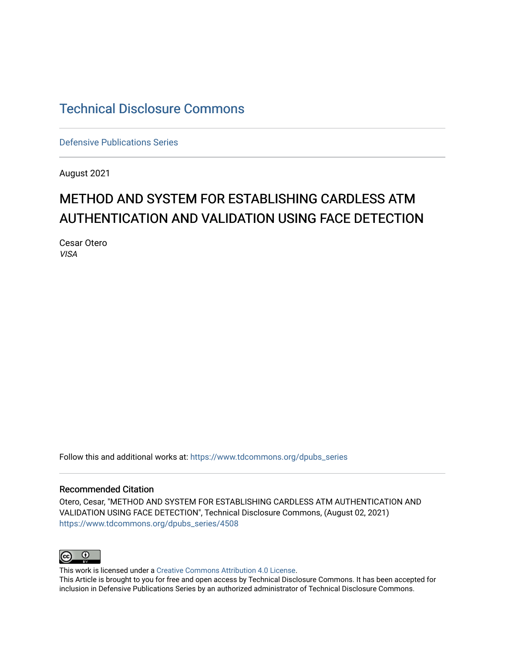## [Technical Disclosure Commons](https://www.tdcommons.org/)

[Defensive Publications Series](https://www.tdcommons.org/dpubs_series)

August 2021

# METHOD AND SYSTEM FOR ESTABLISHING CARDLESS ATM AUTHENTICATION AND VALIDATION USING FACE DETECTION

Cesar Otero VISA

Follow this and additional works at: [https://www.tdcommons.org/dpubs\\_series](https://www.tdcommons.org/dpubs_series?utm_source=www.tdcommons.org%2Fdpubs_series%2F4508&utm_medium=PDF&utm_campaign=PDFCoverPages) 

#### Recommended Citation

Otero, Cesar, "METHOD AND SYSTEM FOR ESTABLISHING CARDLESS ATM AUTHENTICATION AND VALIDATION USING FACE DETECTION", Technical Disclosure Commons, (August 02, 2021) [https://www.tdcommons.org/dpubs\\_series/4508](https://www.tdcommons.org/dpubs_series/4508?utm_source=www.tdcommons.org%2Fdpubs_series%2F4508&utm_medium=PDF&utm_campaign=PDFCoverPages)



This work is licensed under a [Creative Commons Attribution 4.0 License](http://creativecommons.org/licenses/by/4.0/deed.en_US).

This Article is brought to you for free and open access by Technical Disclosure Commons. It has been accepted for inclusion in Defensive Publications Series by an authorized administrator of Technical Disclosure Commons.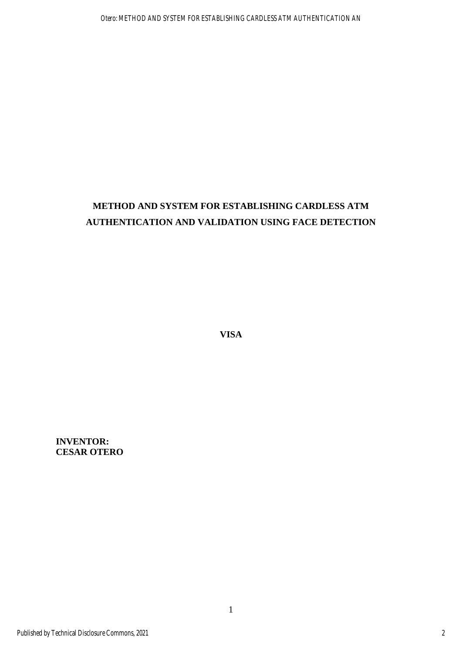### **METHOD AND SYSTEM FOR ESTABLISHING CARDLESS ATM AUTHENTICATION AND VALIDATION USING FACE DETECTION**

**VISA**

**INVENTOR: CESAR OTERO**

1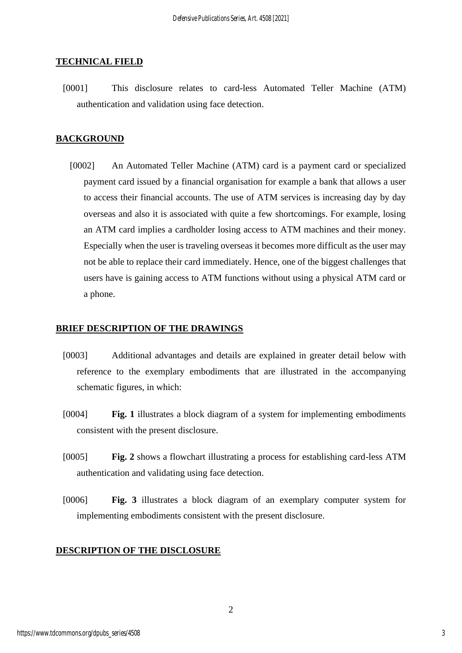#### **TECHNICAL FIELD**

[0001] This disclosure relates to card-less Automated Teller Machine (ATM) authentication and validation using face detection.

### **BACKGROUND**

[0002] An Automated Teller Machine (ATM) card is a payment card or specialized payment card issued by a financial organisation for example a bank that allows a user to access their financial accounts. The use of ATM services is increasing day by day overseas and also it is associated with quite a few shortcomings. For example, losing an ATM card implies a cardholder losing access to ATM machines and their money. Especially when the user is traveling overseas it becomes more difficult as the user may not be able to replace their card immediately. Hence, one of the biggest challenges that users have is gaining access to ATM functions without using a physical ATM card or a phone.

#### **BRIEF DESCRIPTION OF THE DRAWINGS**

- [0003] Additional advantages and details are explained in greater detail below with reference to the exemplary embodiments that are illustrated in the accompanying schematic figures, in which:
- [0004] **Fig. 1** illustrates a block diagram of a system for implementing embodiments consistent with the present disclosure.
- [0005] **Fig. 2** shows a flowchart illustrating a process for establishing card-less ATM authentication and validating using face detection.
- [0006] **Fig. 3** illustrates a block diagram of an exemplary computer system for implementing embodiments consistent with the present disclosure.

#### **DESCRIPTION OF THE DISCLOSURE**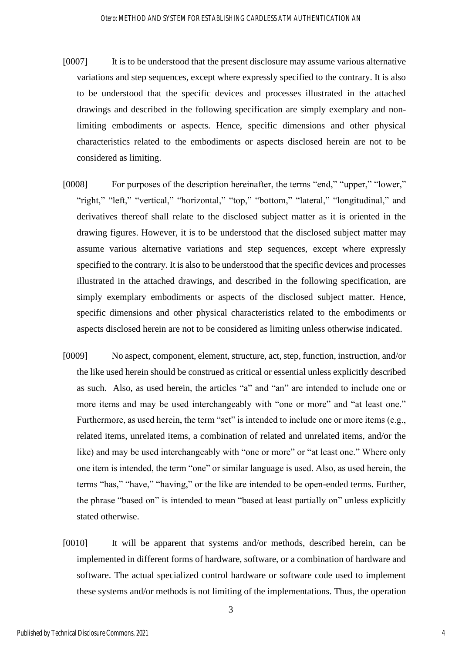- [0007] It is to be understood that the present disclosure may assume various alternative variations and step sequences, except where expressly specified to the contrary. It is also to be understood that the specific devices and processes illustrated in the attached drawings and described in the following specification are simply exemplary and nonlimiting embodiments or aspects. Hence, specific dimensions and other physical characteristics related to the embodiments or aspects disclosed herein are not to be considered as limiting.
- [0008] For purposes of the description hereinafter, the terms "end," "upper," "lower," "right," "left," "vertical," "horizontal," "top," "bottom," "lateral," "longitudinal," and derivatives thereof shall relate to the disclosed subject matter as it is oriented in the drawing figures. However, it is to be understood that the disclosed subject matter may assume various alternative variations and step sequences, except where expressly specified to the contrary. It is also to be understood that the specific devices and processes illustrated in the attached drawings, and described in the following specification, are simply exemplary embodiments or aspects of the disclosed subject matter. Hence, specific dimensions and other physical characteristics related to the embodiments or aspects disclosed herein are not to be considered as limiting unless otherwise indicated.
- [0009] No aspect, component, element, structure, act, step, function, instruction, and/or the like used herein should be construed as critical or essential unless explicitly described as such. Also, as used herein, the articles "a" and "an" are intended to include one or more items and may be used interchangeably with "one or more" and "at least one." Furthermore, as used herein, the term "set" is intended to include one or more items (e.g., related items, unrelated items, a combination of related and unrelated items, and/or the like) and may be used interchangeably with "one or more" or "at least one." Where only one item is intended, the term "one" or similar language is used. Also, as used herein, the terms "has," "have," "having," or the like are intended to be open-ended terms. Further, the phrase "based on" is intended to mean "based at least partially on" unless explicitly stated otherwise.
- [0010] It will be apparent that systems and/or methods, described herein, can be implemented in different forms of hardware, software, or a combination of hardware and software. The actual specialized control hardware or software code used to implement these systems and/or methods is not limiting of the implementations. Thus, the operation

4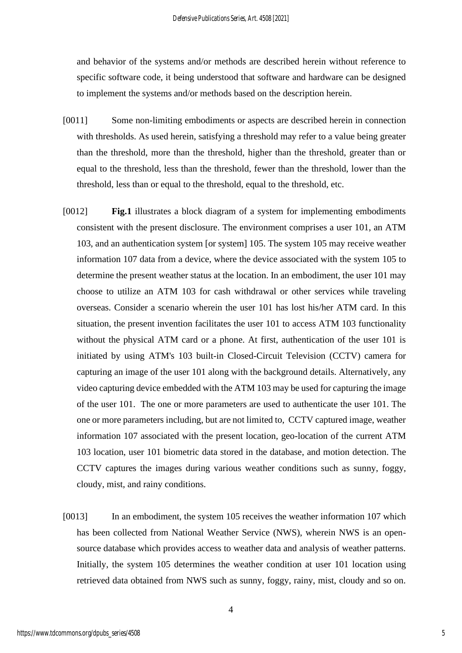and behavior of the systems and/or methods are described herein without reference to specific software code, it being understood that software and hardware can be designed to implement the systems and/or methods based on the description herein.

- [0011] Some non-limiting embodiments or aspects are described herein in connection with thresholds. As used herein, satisfying a threshold may refer to a value being greater than the threshold, more than the threshold, higher than the threshold, greater than or equal to the threshold, less than the threshold, fewer than the threshold, lower than the threshold, less than or equal to the threshold, equal to the threshold, etc.
- [0012] **Fig.1** illustrates a block diagram of a system for implementing embodiments consistent with the present disclosure. The environment comprises a user 101, an ATM 103, and an authentication system [or system] 105. The system 105 may receive weather information 107 data from a device, where the device associated with the system 105 to determine the present weather status at the location. In an embodiment, the user 101 may choose to utilize an ATM 103 for cash withdrawal or other services while traveling overseas. Consider a scenario wherein the user 101 has lost his/her ATM card. In this situation, the present invention facilitates the user 101 to access ATM 103 functionality without the physical ATM card or a phone. At first, authentication of the user 101 is initiated by using ATM's 103 built-in Closed-Circuit Television (CCTV) camera for capturing an image of the user 101 along with the background details. Alternatively, any video capturing device embedded with the ATM 103 may be used for capturing the image of the user 101. The one or more parameters are used to authenticate the user 101. The one or more parameters including, but are not limited to, CCTV captured image, weather information 107 associated with the present location, geo-location of the current ATM 103 location, user 101 biometric data stored in the database, and motion detection. The CCTV captures the images during various weather conditions such as sunny, foggy, cloudy, mist, and rainy conditions.
- [0013] In an embodiment, the system 105 receives the weather information 107 which has been collected from National Weather Service (NWS), wherein NWS is an opensource database which provides access to weather data and analysis of weather patterns. Initially, the system 105 determines the weather condition at user 101 location using retrieved data obtained from NWS such as sunny, foggy, rainy, mist, cloudy and so on.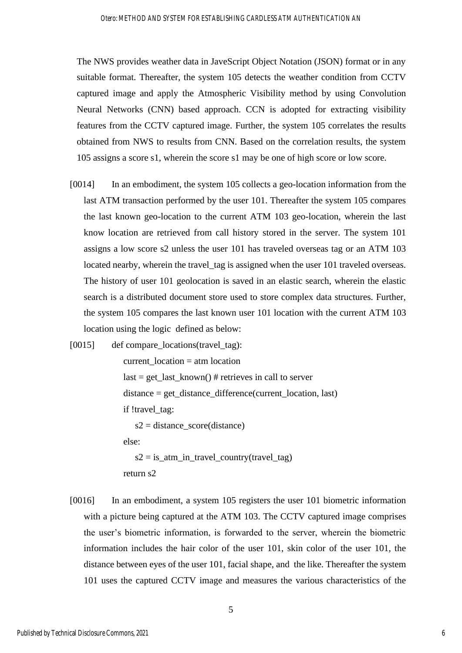The NWS provides weather data in JaveScript Object Notation (JSON) format or in any suitable format. Thereafter, the system 105 detects the weather condition from CCTV captured image and apply the Atmospheric Visibility method by using Convolution Neural Networks (CNN) based approach. CCN is adopted for extracting visibility features from the CCTV captured image. Further, the system 105 correlates the results obtained from NWS to results from CNN. Based on the correlation results, the system 105 assigns a score s1, wherein the score s1 may be one of high score or low score.

[0014] In an embodiment, the system 105 collects a geo-location information from the last ATM transaction performed by the user 101. Thereafter the system 105 compares the last known geo-location to the current ATM 103 geo-location, wherein the last know location are retrieved from call history stored in the server. The system 101 assigns a low score s2 unless the user 101 has traveled overseas tag or an ATM 103 located nearby, wherein the travel tag is assigned when the user 101 traveled overseas. The history of user 101 geolocation is saved in an elastic search, wherein the elastic search is a distributed document store used to store complex data structures. Further, the system 105 compares the last known user 101 location with the current ATM 103 location using the logic defined as below:

[0015] def compare locations(travel tag): current  $location = atm$  location  $last = get\_last\_known()$  # retrieves in call to server distance = get\_distance\_difference(current\_location, last) if !travel tag:  $s2 = distance\_score(distance)$  else:  $s2 = i\frac{s \cdot \text{atm}}{\text{in\_travel\_country}}$ (travel\_tag)

```
 return s2
```
[0016] In an embodiment, a system 105 registers the user 101 biometric information with a picture being captured at the ATM 103. The CCTV captured image comprises the user's biometric information, is forwarded to the server, wherein the biometric information includes the hair color of the user 101, skin color of the user 101, the distance between eyes of the user 101, facial shape, and the like. Thereafter the system 101 uses the captured CCTV image and measures the various characteristics of the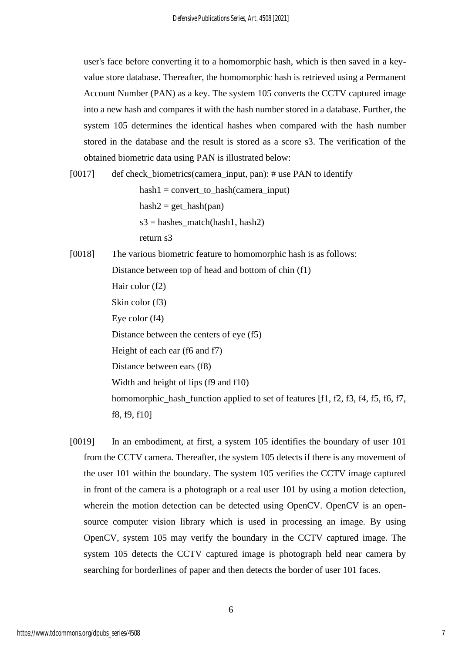user's face before converting it to a homomorphic hash, which is then saved in a keyvalue store database. Thereafter, the homomorphic hash is retrieved using a Permanent Account Number (PAN) as a key. The system 105 converts the CCTV captured image into a new hash and compares it with the hash number stored in a database. Further, the system 105 determines the identical hashes when compared with the hash number stored in the database and the result is stored as a score s3. The verification of the obtained biometric data using PAN is illustrated below:

[0017] def check\_biometrics(camera\_input, pan): # use PAN to identify

 $hash1 = convert_to_hash(camera_input)$  $hash2 = get\_hash(pan)$  $s3 =$  hashes\_match(hash1, hash2) return s3

- [0018] The various biometric feature to homomorphic hash is as follows: Distance between top of head and bottom of chin (f1) Hair color (f2) Skin color (f3) Eye color (f4) Distance between the centers of eye (f5) Height of each ear (f6 and f7) Distance between ears (f8) Width and height of lips (f9 and f10) homomorphic\_hash\_function applied to set of features [f1, f2, f3, f4, f5, f6, f7, f8, f9, f10]
- [0019] In an embodiment, at first, a system 105 identifies the boundary of user 101 from the CCTV camera. Thereafter, the system 105 detects if there is any movement of the user 101 within the boundary. The system 105 verifies the CCTV image captured in front of the camera is a photograph or a real user 101 by using a motion detection, wherein the motion detection can be detected using OpenCV. OpenCV is an opensource computer vision library which is used in processing an image. By using OpenCV, system 105 may verify the boundary in the CCTV captured image. The system 105 detects the CCTV captured image is photograph held near camera by searching for borderlines of paper and then detects the border of user 101 faces.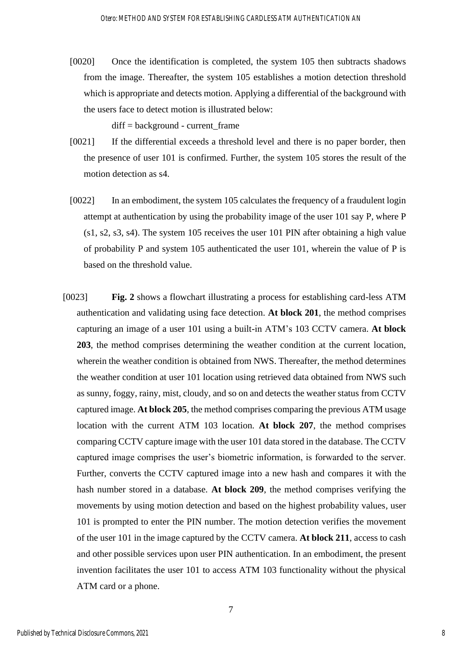[0020] Once the identification is completed, the system 105 then subtracts shadows from the image. Thereafter, the system 105 establishes a motion detection threshold which is appropriate and detects motion. Applying a differential of the background with the users face to detect motion is illustrated below:

diff = background - current\_frame

- [0021] If the differential exceeds a threshold level and there is no paper border, then the presence of user 101 is confirmed. Further, the system 105 stores the result of the motion detection as s4.
- [0022] In an embodiment, the system 105 calculates the frequency of a fraudulent login attempt at authentication by using the probability image of the user 101 say P, where P (s1, s2, s3, s4). The system 105 receives the user 101 PIN after obtaining a high value of probability P and system 105 authenticated the user 101, wherein the value of P is based on the threshold value.
- [0023] **Fig. 2** shows a flowchart illustrating a process for establishing card-less ATM authentication and validating using face detection. **At block 201**, the method comprises capturing an image of a user 101 using a built-in ATM's 103 CCTV camera. **At block 203**, the method comprises determining the weather condition at the current location, wherein the weather condition is obtained from NWS. Thereafter, the method determines the weather condition at user 101 location using retrieved data obtained from NWS such as sunny, foggy, rainy, mist, cloudy, and so on and detects the weather status from CCTV captured image. **At block 205**, the method comprises comparing the previous ATM usage location with the current ATM 103 location. **At block 207**, the method comprises comparing CCTV capture image with the user 101 data stored in the database. The CCTV captured image comprises the user's biometric information, is forwarded to the server. Further, converts the CCTV captured image into a new hash and compares it with the hash number stored in a database. **At block 209**, the method comprises verifying the movements by using motion detection and based on the highest probability values, user 101 is prompted to enter the PIN number. The motion detection verifies the movement of the user 101 in the image captured by the CCTV camera. **At block 211**, access to cash and other possible services upon user PIN authentication. In an embodiment, the present invention facilitates the user 101 to access ATM 103 functionality without the physical ATM card or a phone.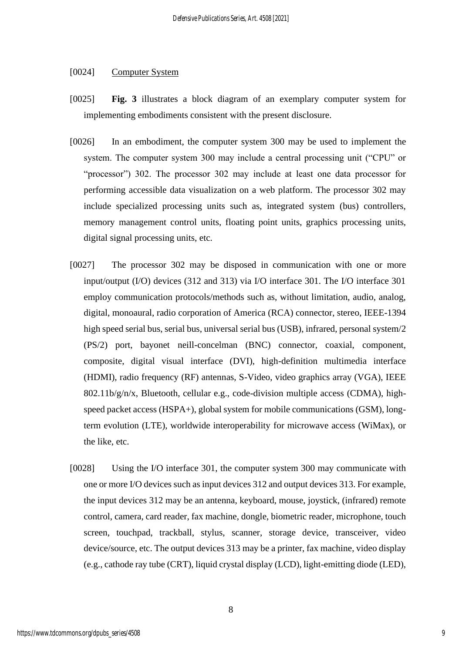#### [0024] Computer System

- [0025] **Fig. 3** illustrates a block diagram of an exemplary computer system for implementing embodiments consistent with the present disclosure.
- [0026] In an embodiment, the computer system 300 may be used to implement the system. The computer system 300 may include a central processing unit ("CPU" or "processor") 302. The processor 302 may include at least one data processor for performing accessible data visualization on a web platform. The processor 302 may include specialized processing units such as, integrated system (bus) controllers, memory management control units, floating point units, graphics processing units, digital signal processing units, etc.
- [0027] The processor 302 may be disposed in communication with one or more input/output (I/O) devices (312 and 313) via I/O interface 301. The I/O interface 301 employ communication protocols/methods such as, without limitation, audio, analog, digital, monoaural, radio corporation of America (RCA) connector, stereo, IEEE-1394 high speed serial bus, serial bus, universal serial bus (USB), infrared, personal system/2 (PS/2) port, bayonet neill-concelman (BNC) connector, coaxial, component, composite, digital visual interface (DVI), high-definition multimedia interface (HDMI), radio frequency (RF) antennas, S-Video, video graphics array (VGA), IEEE 802.11b/g/n/x, Bluetooth, cellular e.g., code-division multiple access (CDMA), highspeed packet access (HSPA+), global system for mobile communications (GSM), longterm evolution (LTE), worldwide interoperability for microwave access (WiMax), or the like, etc.
- [0028] Using the I/O interface 301, the computer system 300 may communicate with one or more I/O devices such as input devices 312 and output devices 313. For example, the input devices 312 may be an antenna, keyboard, mouse, joystick, (infrared) remote control, camera, card reader, fax machine, dongle, biometric reader, microphone, touch screen, touchpad, trackball, stylus, scanner, storage device, transceiver, video device/source, etc. The output devices 313 may be a printer, fax machine, video display (e.g., cathode ray tube (CRT), liquid crystal display (LCD), light-emitting diode (LED),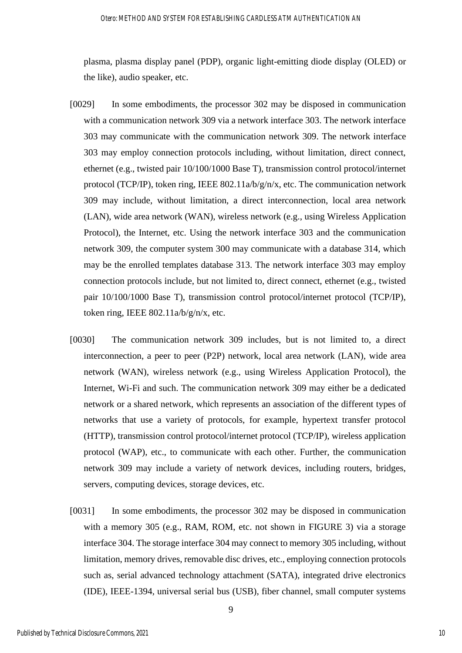plasma, plasma display panel (PDP), organic light-emitting diode display (OLED) or the like), audio speaker, etc.

- [0029] In some embodiments, the processor 302 may be disposed in communication with a communication network 309 via a network interface 303. The network interface 303 may communicate with the communication network 309. The network interface 303 may employ connection protocols including, without limitation, direct connect, ethernet (e.g., twisted pair 10/100/1000 Base T), transmission control protocol/internet protocol (TCP/IP), token ring, IEEE 802.11a/b/g/n/x, etc. The communication network 309 may include, without limitation, a direct interconnection, local area network (LAN), wide area network (WAN), wireless network (e.g., using Wireless Application Protocol), the Internet, etc. Using the network interface 303 and the communication network 309, the computer system 300 may communicate with a database 314, which may be the enrolled templates database 313. The network interface 303 may employ connection protocols include, but not limited to, direct connect, ethernet (e.g., twisted pair 10/100/1000 Base T), transmission control protocol/internet protocol (TCP/IP), token ring, IEEE 802.11a/b/g/n/x, etc.
- [0030] The communication network 309 includes, but is not limited to, a direct interconnection, a peer to peer (P2P) network, local area network (LAN), wide area network (WAN), wireless network (e.g., using Wireless Application Protocol), the Internet, Wi-Fi and such. The communication network 309 may either be a dedicated network or a shared network, which represents an association of the different types of networks that use a variety of protocols, for example, hypertext transfer protocol (HTTP), transmission control protocol/internet protocol (TCP/IP), wireless application protocol (WAP), etc., to communicate with each other. Further, the communication network 309 may include a variety of network devices, including routers, bridges, servers, computing devices, storage devices, etc.
- [0031] In some embodiments, the processor 302 may be disposed in communication with a memory 305 (e.g., RAM, ROM, etc. not shown in FIGURE 3) via a storage interface 304. The storage interface 304 may connect to memory 305 including, without limitation, memory drives, removable disc drives, etc., employing connection protocols such as, serial advanced technology attachment (SATA), integrated drive electronics (IDE), IEEE-1394, universal serial bus (USB), fiber channel, small computer systems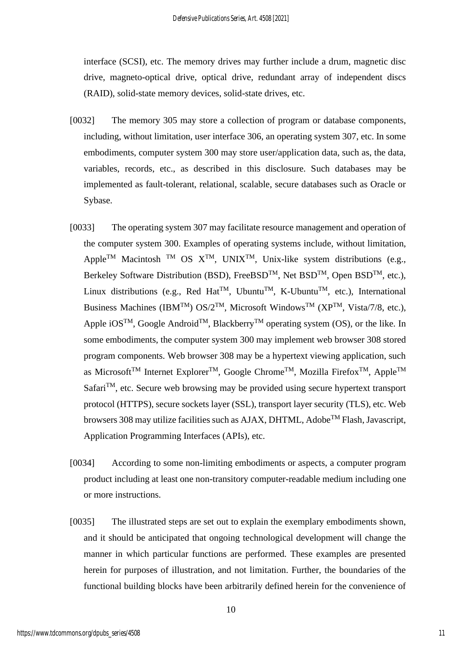interface (SCSI), etc. The memory drives may further include a drum, magnetic disc drive, magneto-optical drive, optical drive, redundant array of independent discs (RAID), solid-state memory devices, solid-state drives, etc.

- [0032] The memory 305 may store a collection of program or database components, including, without limitation, user interface 306, an operating system 307, etc. In some embodiments, computer system 300 may store user/application data, such as, the data, variables, records, etc., as described in this disclosure. Such databases may be implemented as fault-tolerant, relational, scalable, secure databases such as Oracle or Sybase.
- [0033] The operating system 307 may facilitate resource management and operation of the computer system 300. Examples of operating systems include, without limitation, Apple<sup>TM</sup> Macintosh <sup>TM</sup> OS  $X^{TM}$ , UNIX<sup>TM</sup>, Unix-like system distributions (e.g., Berkeley Software Distribution (BSD), FreeBSD<sup>TM</sup>, Net BSD<sup>TM</sup>, Open BSD<sup>TM</sup>, etc.), Linux distributions (e.g., Red Hat<sup>TM</sup>, Ubuntu<sup>TM</sup>, K-Ubuntu<sup>TM</sup>, etc.), International Business Machines (IBM<sup>TM</sup>) OS/2<sup>TM</sup>, Microsoft Windows<sup>TM</sup> (XP<sup>TM</sup>, Vista/7/8, etc.), Apple iOS<sup>TM</sup>, Google Android<sup>TM</sup>, Blackberry<sup>TM</sup> operating system (OS), or the like. In some embodiments, the computer system 300 may implement web browser 308 stored program components. Web browser 308 may be a hypertext viewing application, such as Microsoft<sup>TM</sup> Internet Explorer<sup>TM</sup>, Google Chrome<sup>TM</sup>, Mozilla Firefox<sup>TM</sup>, Apple<sup>TM</sup> Safari<sup>TM</sup>, etc. Secure web browsing may be provided using secure hypertext transport protocol (HTTPS), secure sockets layer (SSL), transport layer security (TLS), etc. Web browsers 308 may utilize facilities such as  $A JAX$ , DHTML,  $A dobe^{TM}$  Flash, Javascript, Application Programming Interfaces (APIs), etc.
- [0034] According to some non-limiting embodiments or aspects, a computer program product including at least one non-transitory computer-readable medium including one or more instructions.
- [0035] The illustrated steps are set out to explain the exemplary embodiments shown, and it should be anticipated that ongoing technological development will change the manner in which particular functions are performed. These examples are presented herein for purposes of illustration, and not limitation. Further, the boundaries of the functional building blocks have been arbitrarily defined herein for the convenience of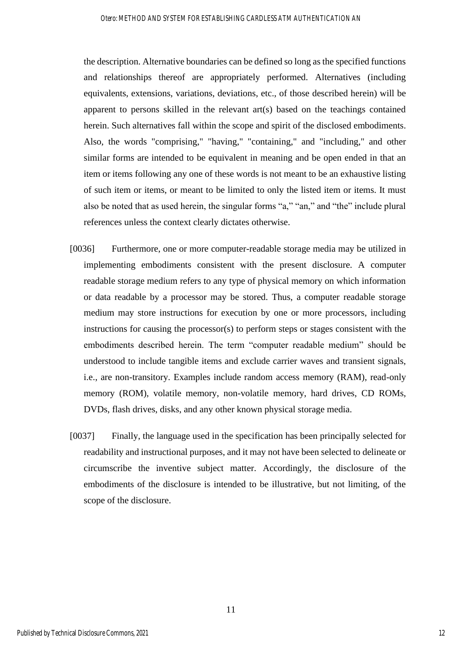the description. Alternative boundaries can be defined so long as the specified functions and relationships thereof are appropriately performed. Alternatives (including equivalents, extensions, variations, deviations, etc., of those described herein) will be apparent to persons skilled in the relevant art(s) based on the teachings contained herein. Such alternatives fall within the scope and spirit of the disclosed embodiments. Also, the words "comprising," "having," "containing," and "including," and other similar forms are intended to be equivalent in meaning and be open ended in that an item or items following any one of these words is not meant to be an exhaustive listing of such item or items, or meant to be limited to only the listed item or items. It must also be noted that as used herein, the singular forms "a," "an," and "the" include plural references unless the context clearly dictates otherwise.

- [0036] Furthermore, one or more computer-readable storage media may be utilized in implementing embodiments consistent with the present disclosure. A computer readable storage medium refers to any type of physical memory on which information or data readable by a processor may be stored. Thus, a computer readable storage medium may store instructions for execution by one or more processors, including instructions for causing the processor(s) to perform steps or stages consistent with the embodiments described herein. The term "computer readable medium" should be understood to include tangible items and exclude carrier waves and transient signals, i.e., are non-transitory. Examples include random access memory (RAM), read-only memory (ROM), volatile memory, non-volatile memory, hard drives, CD ROMs, DVDs, flash drives, disks, and any other known physical storage media.
- [0037] Finally, the language used in the specification has been principally selected for readability and instructional purposes, and it may not have been selected to delineate or circumscribe the inventive subject matter. Accordingly, the disclosure of the embodiments of the disclosure is intended to be illustrative, but not limiting, of the scope of the disclosure.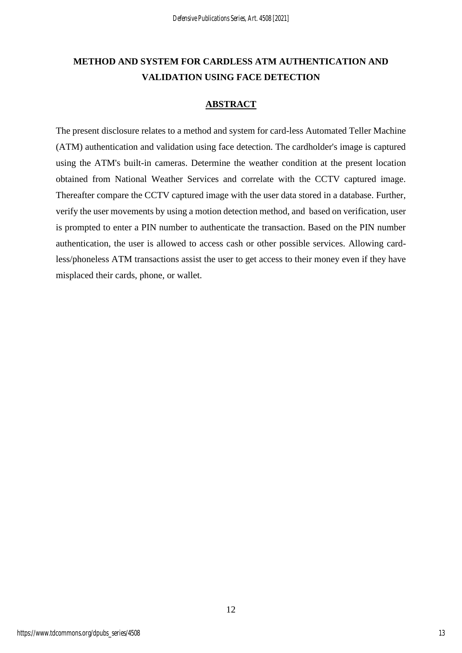### **METHOD AND SYSTEM FOR CARDLESS ATM AUTHENTICATION AND VALIDATION USING FACE DETECTION**

#### **ABSTRACT**

The present disclosure relates to a method and system for card-less Automated Teller Machine (ATM) authentication and validation using face detection. The cardholder's image is captured using the ATM's built-in cameras. Determine the weather condition at the present location obtained from National Weather Services and correlate with the CCTV captured image. Thereafter compare the CCTV captured image with the user data stored in a database. Further, verify the user movements by using a motion detection method, and based on verification, user is prompted to enter a PIN number to authenticate the transaction. Based on the PIN number authentication, the user is allowed to access cash or other possible services. Allowing cardless/phoneless ATM transactions assist the user to get access to their money even if they have misplaced their cards, phone, or wallet.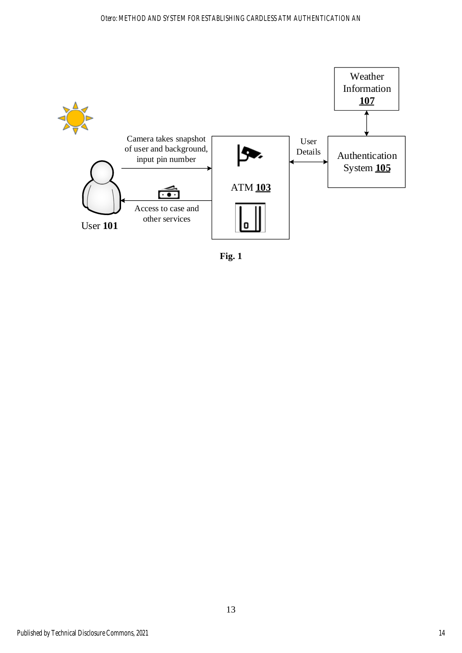

**Fig. 1**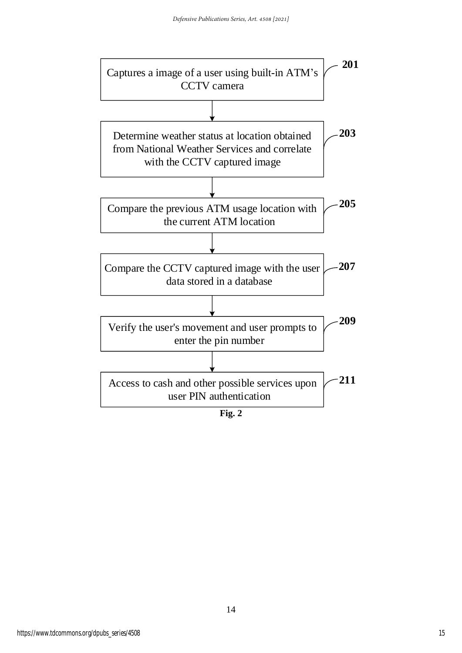